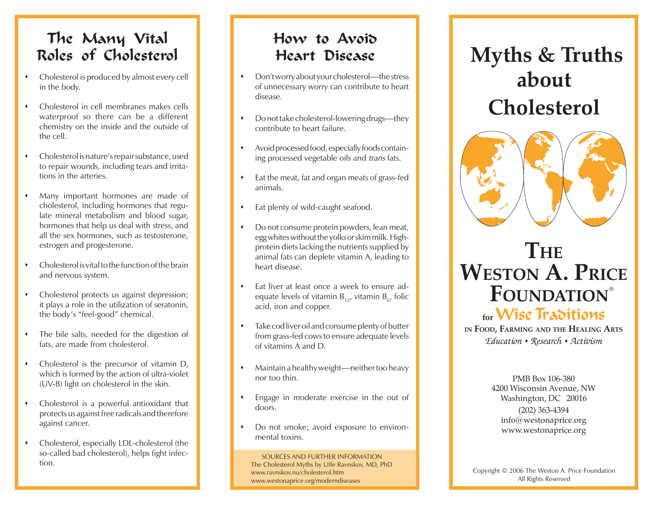# The Many Vital

- Cholesterol is produced by almost every cell in the body.
- Cholesterol in cell membranes makes cells waterproof so there can be a different chemistry on the inside and the outside of the cell.
- Cholesterol is nature's repair substance, used to repair wounds, including tears and irritations in the arteries.
- Many important hormones are made of cholesterol, including hormones that regulate mineral metabolism and blood sugar, hormones that help us deal with stress, and all the sex hormones, such as testosterone, estrogen and progesterone.
- Cholesterol is vital to the function of the brain and nervous system.
- Cholesterol protects us against depression; it plays a role in the utilization of seratonin, the body's "feel-good" chemical.
- The bile salts, needed for the digestion of fats, are made from cholesterol.
- Cholesterol is the precursor of vitamin D, which is formed by the action of ultra-violet (UV-B) light on cholesterol in the skin.
- Cholesterol is a powerful antioxidant that protects us against free radicals and therefore against cancer.
- Cholesterol, especially LDL-cholesterol (the so-called bad cholesterol), helps fight infection.

### How to Avoid Heart Disease

- Don't worry about your cholesterol—the stress of unnecessary worry can contribute to heart disease.
- Do not take cholesterol-lowering drugs—they contribute to heart failure.
- Avoid processed food, especially foods containing processed vegetable oils and trans fats.
- Eat the meat, fat and organ meats of grass-fed animals.
- Eat plenty of wild-caught seafood.
- Do not consume protein powders, lean meat, egg whites without the yolks or skim milk. Highprotein diets lacking the nutrients supplied by animal fats can deplete vitamin A, leading to heart disease.
- Eat liver at least once a week to ensure adequate levels of vitamin  $\mathsf{B}_{12'}$  vitamin  $\mathsf{B}_{6'}$  folic acid, iron and copper.
- Take cod liver oil and consume plenty of butter from grass-fed cows to ensure adequate levels of vitamins A and D.
- Maintain a healthy weight—neither too heavy nor too thin.
- Engage in moderate exercise in the out of doors.
- Do not smoke; avoid exposure to environmental toxins.

 Sources and Further Information The Cholesterol Myths by Uffe Ravnskov, MD, PhD www.ravnskov.nu/cholesterol.htm www.westonaprice.org/moderndiseases

## Roles of Cholesterol **Heart Disease** Myths & Truths **about Cholesterol**



## **The Weston A. Price**  $\mathbf F$ **OUNDATION**®

**for**WiseTraditions

**in Food, Farming and the Healing Arts** Education • Research • Activism

> PMB Box 106-380 4200 Wisconsin Avenue, NW Washington, DC 20016 (202) 363-4394 info@westonaprice.org www.westonaprice.org

Copyright © 2006 The Weston A. Price Foundation All Rights Reserved